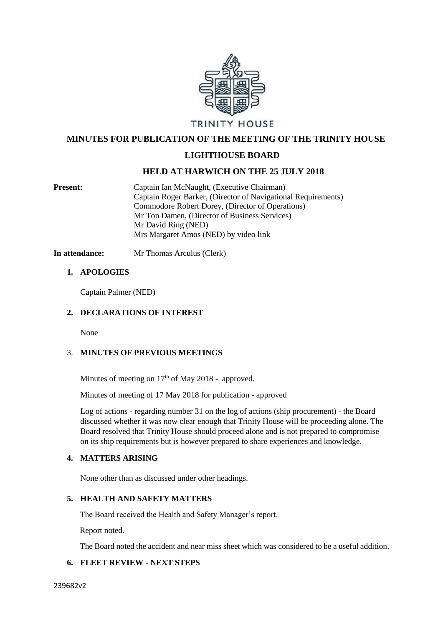

 **MINUTES FOR PUBLICATION OF THE MEETING OF THE TRINITY HOUSE**

# **LIGHTHOUSE BOARD**

# **HELD AT HARWICH ON THE 25 JULY 2018**

Present: Captain Ian McNaught, (Executive Chairman) Captain Roger Barker, (Director of Navigational Requirements) Commodore Robert Dorey, (Director of Operations) Mr Ton Damen, (Director of Business Services) Mr David Ring (NED) Mrs Margaret Amos (NED) by video link

**In attendance:** Mr Thomas Arculus (Clerk)

## **1. APOLOGIES**

Captain Palmer (NED)

## **2. DECLARATIONS OF INTEREST**

None

## 3. **MINUTES OF PREVIOUS MEETINGS**

Minutes of meeting on  $17<sup>th</sup>$  of May 2018 - approved.

Minutes of meeting of 17 May 2018 for publication - approved

Log of actions - regarding number 31 on the log of actions (ship procurement) - the Board discussed whether it was now clear enough that Trinity House will be proceeding alone. The Board resolved that Trinity House should proceed alone and is not prepared to compromise on its ship requirements but is however prepared to share experiences and knowledge.

## **4. MATTERS ARISING**

None other than as discussed under other headings.

## **5. HEALTH AND SAFETY MATTERS**

The Board received the Health and Safety Manager's report.

Report noted.

The Board noted the accident and near miss sheet which was considered to be a useful addition.

# **6. FLEET REVIEW - NEXT STEPS**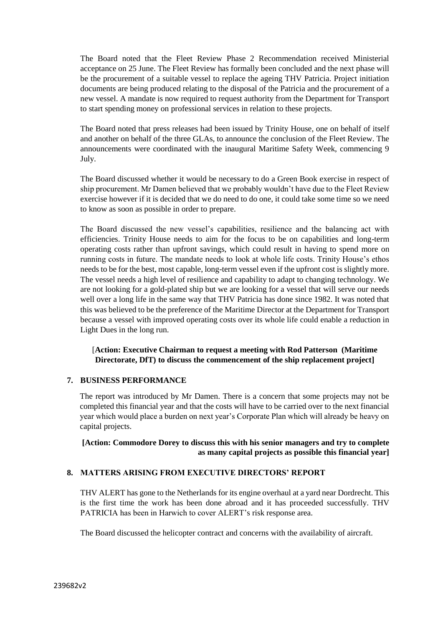The Board noted that the Fleet Review Phase 2 Recommendation received Ministerial acceptance on 25 June. The Fleet Review has formally been concluded and the next phase will be the procurement of a suitable vessel to replace the ageing THV Patricia. Project initiation documents are being produced relating to the disposal of the Patricia and the procurement of a new vessel. A mandate is now required to request authority from the Department for Transport to start spending money on professional services in relation to these projects.

The Board noted that press releases had been issued by Trinity House, one on behalf of itself and another on behalf of the three GLAs, to announce the conclusion of the Fleet Review. The announcements were coordinated with the inaugural Maritime Safety Week, commencing 9 July.

The Board discussed whether it would be necessary to do a Green Book exercise in respect of ship procurement. Mr Damen believed that we probably wouldn't have due to the Fleet Review exercise however if it is decided that we do need to do one, it could take some time so we need to know as soon as possible in order to prepare.

The Board discussed the new vessel's capabilities, resilience and the balancing act with efficiencies. Trinity House needs to aim for the focus to be on capabilities and long-term operating costs rather than upfront savings, which could result in having to spend more on running costs in future. The mandate needs to look at whole life costs. Trinity House's ethos needs to be for the best, most capable, long-term vessel even if the upfront cost is slightly more. The vessel needs a high level of resilience and capability to adapt to changing technology. We are not looking for a gold-plated ship but we are looking for a vessel that will serve our needs well over a long life in the same way that THV Patricia has done since 1982. It was noted that this was believed to be the preference of the Maritime Director at the Department for Transport because a vessel with improved operating costs over its whole life could enable a reduction in Light Dues in the long run.

# [**Action: Executive Chairman to request a meeting with Rod Patterson (Maritime Directorate, DfT) to discuss the commencement of the ship replacement project]**

# **7. BUSINESS PERFORMANCE**

The report was introduced by Mr Damen. There is a concern that some projects may not be completed this financial year and that the costs will have to be carried over to the next financial year which would place a burden on next year's Corporate Plan which will already be heavy on capital projects.

# **[Action: Commodore Dorey to discuss this with his senior managers and try to complete as many capital projects as possible this financial year]**

# **8. MATTERS ARISING FROM EXECUTIVE DIRECTORS' REPORT**

THV ALERT has gone to the Netherlands for its engine overhaul at a yard near Dordrecht. This is the first time the work has been done abroad and it has proceeded successfully. THV PATRICIA has been in Harwich to cover ALERT's risk response area.

The Board discussed the helicopter contract and concerns with the availability of aircraft.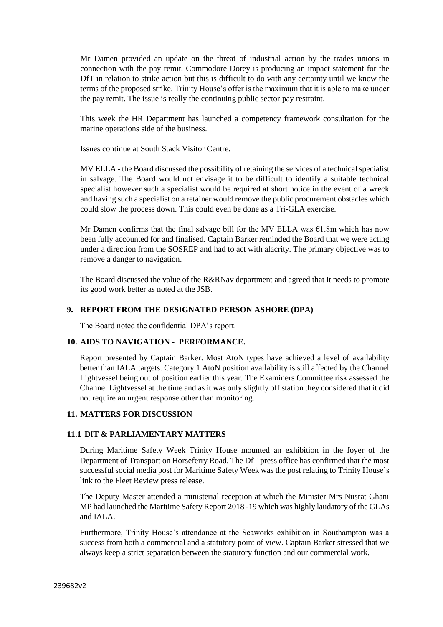Mr Damen provided an update on the threat of industrial action by the trades unions in connection with the pay remit. Commodore Dorey is producing an impact statement for the DfT in relation to strike action but this is difficult to do with any certainty until we know the terms of the proposed strike. Trinity House's offer is the maximum that it is able to make under the pay remit. The issue is really the continuing public sector pay restraint.

This week the HR Department has launched a competency framework consultation for the marine operations side of the business.

Issues continue at South Stack Visitor Centre.

MV ELLA - the Board discussed the possibility of retaining the services of a technical specialist in salvage. The Board would not envisage it to be difficult to identify a suitable technical specialist however such a specialist would be required at short notice in the event of a wreck and having such a specialist on a retainer would remove the public procurement obstacles which could slow the process down. This could even be done as a Tri-GLA exercise.

Mr Damen confirms that the final salvage bill for the MV ELLA was  $\epsilon$ 1.8m which has now been fully accounted for and finalised. Captain Barker reminded the Board that we were acting under a direction from the SOSREP and had to act with alacrity. The primary objective was to remove a danger to navigation.

The Board discussed the value of the R&RNav department and agreed that it needs to promote its good work better as noted at the JSB.

## **9. REPORT FROM THE DESIGNATED PERSON ASHORE (DPA)**

The Board noted the confidential DPA's report.

## **10. AIDS TO NAVIGATION - PERFORMANCE.**

Report presented by Captain Barker. Most AtoN types have achieved a level of availability better than IALA targets. Category 1 AtoN position availability is still affected by the Channel Lightvessel being out of position earlier this year. The Examiners Committee risk assessed the Channel Lightvessel at the time and as it was only slightly off station they considered that it did not require an urgent response other than monitoring.

## **11. MATTERS FOR DISCUSSION**

## **11.1 DfT & PARLIAMENTARY MATTERS**

During Maritime Safety Week Trinity House mounted an exhibition in the foyer of the Department of Transport on Horseferry Road. The DfT press office has confirmed that the most successful social media post for Maritime Safety Week was the post relating to Trinity House's link to the Fleet Review press release.

The Deputy Master attended a ministerial reception at which the Minister Mrs Nusrat Ghani MP had launched the Maritime Safety Report 2018 -19 which was highly laudatory of the GLAs and IALA.

Furthermore, Trinity House's attendance at the Seaworks exhibition in Southampton was a success from both a commercial and a statutory point of view. Captain Barker stressed that we always keep a strict separation between the statutory function and our commercial work.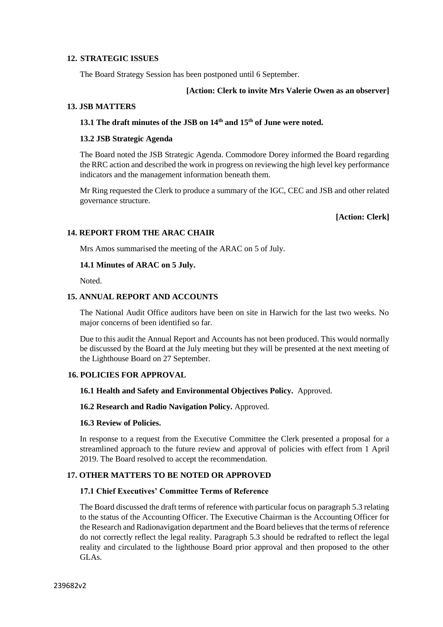## **12. STRATEGIC ISSUES**

The Board Strategy Session has been postponed until 6 September.

#### **[Action: Clerk to invite Mrs Valerie Owen as an observer]**

#### **13. JSB MATTERS**

# **13.1 The draft minutes of the JSB on 14th and 15th of June were noted.**

#### **13.2 JSB Strategic Agenda**

The Board noted the JSB Strategic Agenda. Commodore Dorey informed the Board regarding the RRC action and described the work in progress on reviewing the high level key performance indicators and the management information beneath them.

Mr Ring requested the Clerk to produce a summary of the IGC, CEC and JSB and other related governance structure.

#### **[Action: Clerk]**

## **14. REPORT FROM THE ARAC CHAIR**

Mrs Amos summarised the meeting of the ARAC on 5 of July.

#### **14.1 Minutes of ARAC on 5 July.**

Noted.

#### **15. ANNUAL REPORT AND ACCOUNTS**

The National Audit Office auditors have been on site in Harwich for the last two weeks. No major concerns of been identified so far.

Due to this audit the Annual Report and Accounts has not been produced. This would normally be discussed by the Board at the July meeting but they will be presented at the next meeting of the Lighthouse Board on 27 September.

## **16. POLICIES FOR APPROVAL**

#### **16.1 Health and Safety and Environmental Objectives Policy.** Approved.

#### **16.2 Research and Radio Navigation Policy.** Approved.

#### **16.3 Review of Policies.**

In response to a request from the Executive Committee the Clerk presented a proposal for a streamlined approach to the future review and approval of policies with effect from 1 April 2019. The Board resolved to accept the recommendation.

#### **17. OTHER MATTERS TO BE NOTED OR APPROVED**

#### **17.1 Chief Executives' Committee Terms of Reference**

The Board discussed the draft terms of reference with particular focus on paragraph 5.3 relating to the status of the Accounting Officer. The Executive Chairman is the Accounting Officer for the Research and Radionavigation department and the Board believes that the terms of reference do not correctly reflect the legal reality. Paragraph 5.3 should be redrafted to reflect the legal reality and circulated to the lighthouse Board prior approval and then proposed to the other GLAs.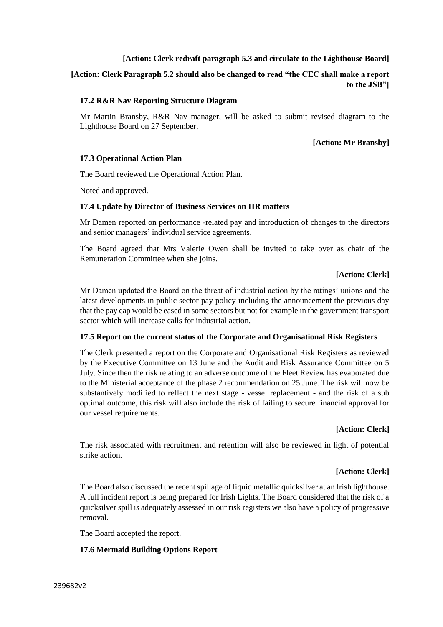## **[Action: Clerk redraft paragraph 5.3 and circulate to the Lighthouse Board]**

**[Action: Clerk Paragraph 5.2 should also be changed to read "the CEC shall make a report to the JSB"]** 

## **17.2 R&R Nav Reporting Structure Diagram**

Mr Martin Bransby, R&R Nav manager, will be asked to submit revised diagram to the Lighthouse Board on 27 September.

**[Action: Mr Bransby]**

## **17.3 Operational Action Plan**

The Board reviewed the Operational Action Plan.

Noted and approved.

#### **17.4 Update by Director of Business Services on HR matters**

Mr Damen reported on performance -related pay and introduction of changes to the directors and senior managers' individual service agreements.

The Board agreed that Mrs Valerie Owen shall be invited to take over as chair of the Remuneration Committee when she joins.

## **[Action: Clerk]**

Mr Damen updated the Board on the threat of industrial action by the ratings' unions and the latest developments in public sector pay policy including the announcement the previous day that the pay cap would be eased in some sectors but not for example in the government transport sector which will increase calls for industrial action.

## **17.5 Report on the current status of the Corporate and Organisational Risk Registers**

The Clerk presented a report on the Corporate and Organisational Risk Registers as reviewed by the Executive Committee on 13 June and the Audit and Risk Assurance Committee on 5 July. Since then the risk relating to an adverse outcome of the Fleet Review has evaporated due to the Ministerial acceptance of the phase 2 recommendation on 25 June. The risk will now be substantively modified to reflect the next stage - vessel replacement - and the risk of a sub optimal outcome, this risk will also include the risk of failing to secure financial approval for our vessel requirements.

# **[Action: Clerk]**

The risk associated with recruitment and retention will also be reviewed in light of potential strike action.

## **[Action: Clerk]**

The Board also discussed the recent spillage of liquid metallic quicksilver at an Irish lighthouse. A full incident report is being prepared for Irish Lights. The Board considered that the risk of a quicksilver spill is adequately assessed in our risk registers we also have a policy of progressive removal.

The Board accepted the report.

## **17.6 Mermaid Building Options Report**